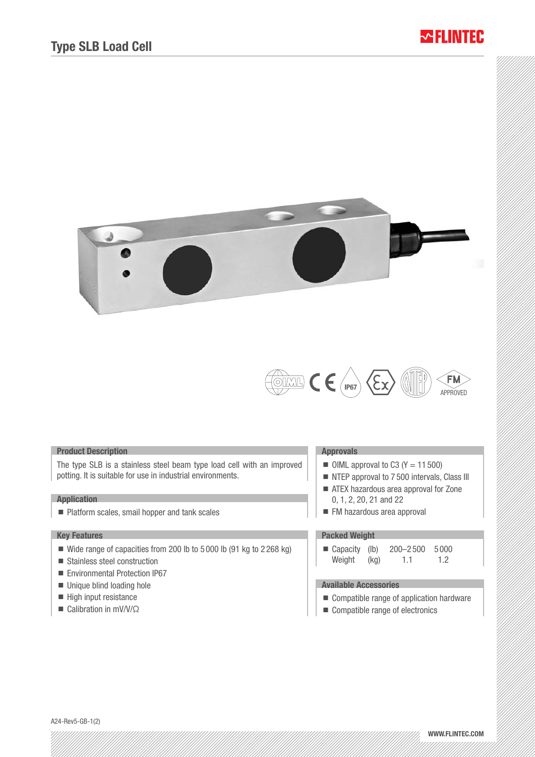# **MELINTER**





### Product Description

The type SLB is a stainless steel beam type load cell with an improved potting. It is suitable for use in industrial environments.

### **Application**

■ Platform scales, smail hopper and tank scales

## Key Features

- Wide range of capacities from 200 lb to 5 000 lb (91 kg to 2 268 kg)
- Stainless steel construction
- Environmental Protection IP67
- Unique blind loading hole
- High input resistance
- Calibration in mV/V/Ω

#### Approvals

- $\blacksquare$  OIML approval to C3 (Y = 11 500)
- NTEP approval to 7500 intervals, Class III
- ATEX hazardous area approval for Zone 0, 1, 2, 20, 21 and 22
- **FM** hazardous area approval

# Packed Weight

■ Capacity (lb) 200-2500 5000 Weight (kg) 1.1 1.2

## Available Accessories

- Compatible range of application hardware
- Compatible range of electronics